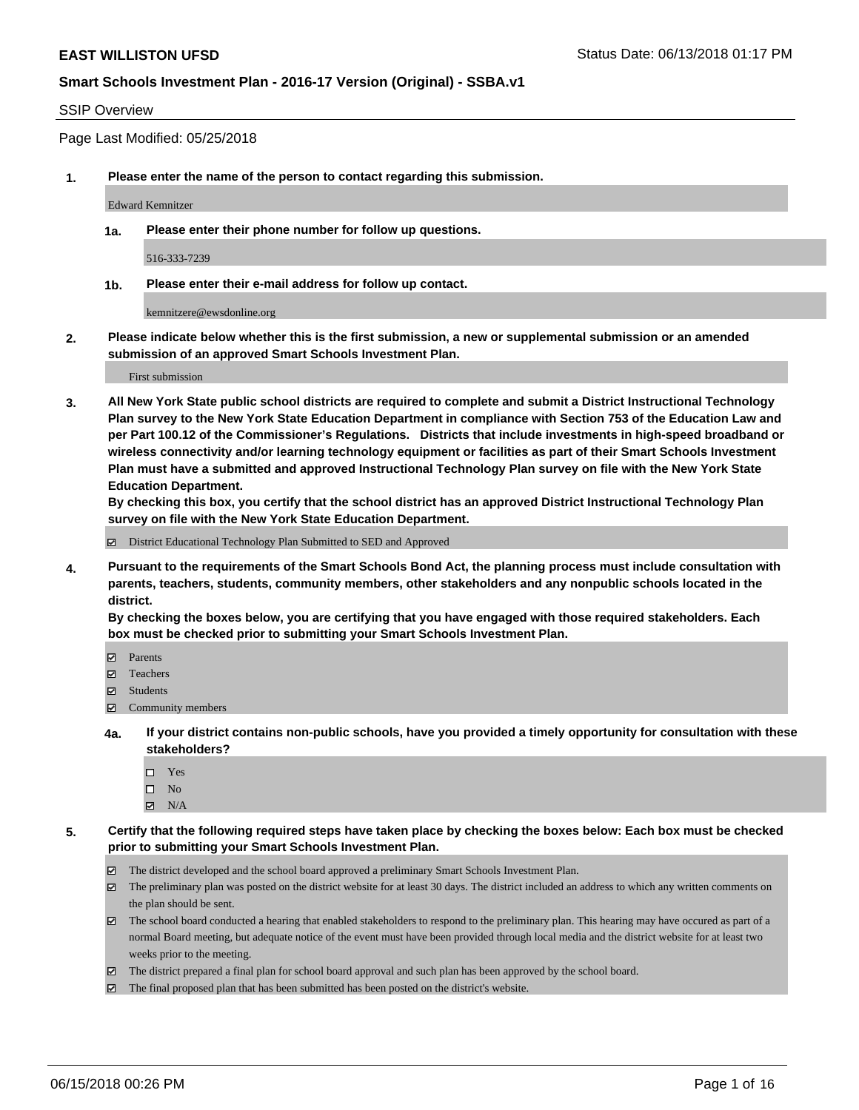#### SSIP Overview

Page Last Modified: 05/25/2018

**1. Please enter the name of the person to contact regarding this submission.**

Edward Kemnitzer

**1a. Please enter their phone number for follow up questions.**

516-333-7239

**1b. Please enter their e-mail address for follow up contact.**

kemnitzere@ewsdonline.org

**2. Please indicate below whether this is the first submission, a new or supplemental submission or an amended submission of an approved Smart Schools Investment Plan.**

First submission

**3. All New York State public school districts are required to complete and submit a District Instructional Technology Plan survey to the New York State Education Department in compliance with Section 753 of the Education Law and per Part 100.12 of the Commissioner's Regulations. Districts that include investments in high-speed broadband or wireless connectivity and/or learning technology equipment or facilities as part of their Smart Schools Investment Plan must have a submitted and approved Instructional Technology Plan survey on file with the New York State Education Department.** 

**By checking this box, you certify that the school district has an approved District Instructional Technology Plan survey on file with the New York State Education Department.**

District Educational Technology Plan Submitted to SED and Approved

**4. Pursuant to the requirements of the Smart Schools Bond Act, the planning process must include consultation with parents, teachers, students, community members, other stakeholders and any nonpublic schools located in the district.** 

**By checking the boxes below, you are certifying that you have engaged with those required stakeholders. Each box must be checked prior to submitting your Smart Schools Investment Plan.**

- Parents
- Teachers
- Students
- $\Xi$  Community members
- **4a. If your district contains non-public schools, have you provided a timely opportunity for consultation with these stakeholders?**
	- Yes
	- $\square$  No
	- $N/A$
- **5. Certify that the following required steps have taken place by checking the boxes below: Each box must be checked prior to submitting your Smart Schools Investment Plan.**
	- The district developed and the school board approved a preliminary Smart Schools Investment Plan.
	- $\boxtimes$  The preliminary plan was posted on the district website for at least 30 days. The district included an address to which any written comments on the plan should be sent.
	- $\boxtimes$  The school board conducted a hearing that enabled stakeholders to respond to the preliminary plan. This hearing may have occured as part of a normal Board meeting, but adequate notice of the event must have been provided through local media and the district website for at least two weeks prior to the meeting.
	- The district prepared a final plan for school board approval and such plan has been approved by the school board.
	- $\boxtimes$  The final proposed plan that has been submitted has been posted on the district's website.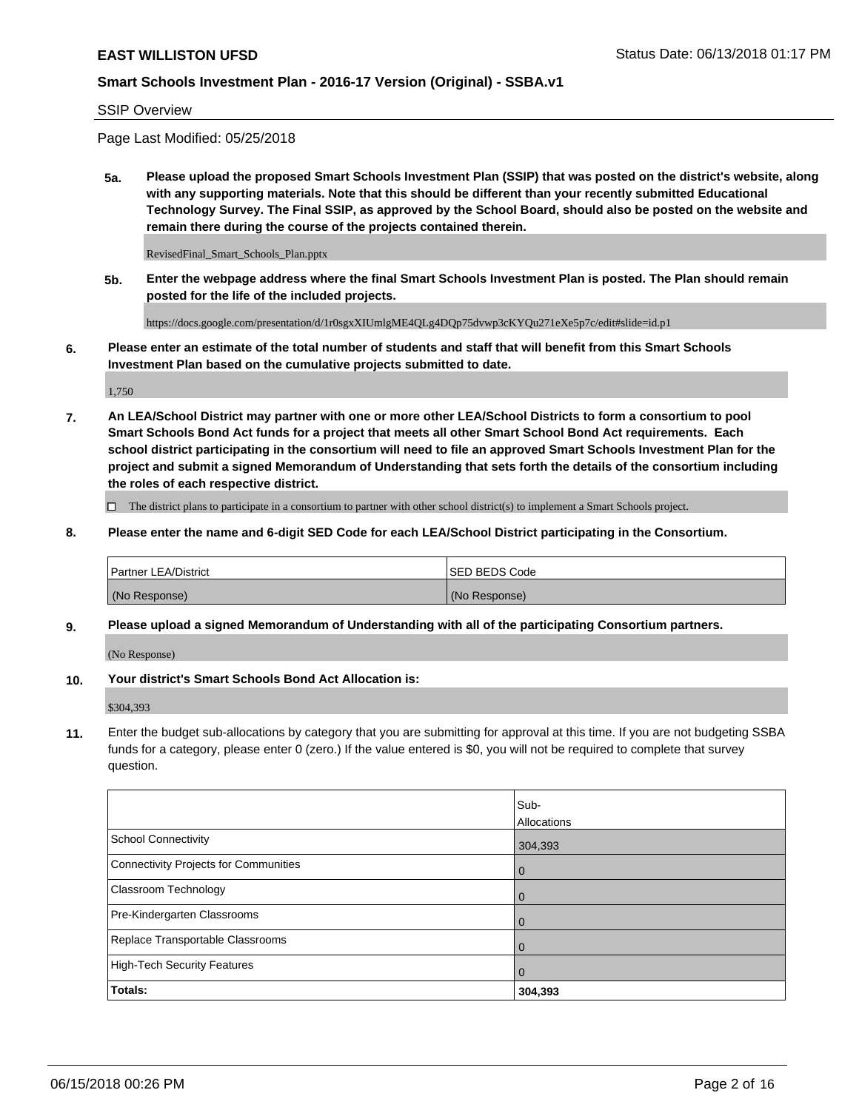#### SSIP Overview

Page Last Modified: 05/25/2018

**5a. Please upload the proposed Smart Schools Investment Plan (SSIP) that was posted on the district's website, along with any supporting materials. Note that this should be different than your recently submitted Educational Technology Survey. The Final SSIP, as approved by the School Board, should also be posted on the website and remain there during the course of the projects contained therein.**

RevisedFinal\_Smart\_Schools\_Plan.pptx

**5b. Enter the webpage address where the final Smart Schools Investment Plan is posted. The Plan should remain posted for the life of the included projects.**

https://docs.google.com/presentation/d/1r0sgxXIUmlgME4QLg4DQp75dvwp3cKYQu271eXe5p7c/edit#slide=id.p1

**6. Please enter an estimate of the total number of students and staff that will benefit from this Smart Schools Investment Plan based on the cumulative projects submitted to date.**

1,750

**7. An LEA/School District may partner with one or more other LEA/School Districts to form a consortium to pool Smart Schools Bond Act funds for a project that meets all other Smart School Bond Act requirements. Each school district participating in the consortium will need to file an approved Smart Schools Investment Plan for the project and submit a signed Memorandum of Understanding that sets forth the details of the consortium including the roles of each respective district.**

 $\Box$  The district plans to participate in a consortium to partner with other school district(s) to implement a Smart Schools project.

**8. Please enter the name and 6-digit SED Code for each LEA/School District participating in the Consortium.**

| <b>Partner LEA/District</b> | <b>ISED BEDS Code</b> |
|-----------------------------|-----------------------|
| (No Response)               | (No Response)         |

#### **9. Please upload a signed Memorandum of Understanding with all of the participating Consortium partners.**

(No Response)

**10. Your district's Smart Schools Bond Act Allocation is:**

\$304,393

**11.** Enter the budget sub-allocations by category that you are submitting for approval at this time. If you are not budgeting SSBA funds for a category, please enter 0 (zero.) If the value entered is \$0, you will not be required to complete that survey question.

|                                       | Sub-<br>Allocations |
|---------------------------------------|---------------------|
| School Connectivity                   | 304,393             |
| Connectivity Projects for Communities | $\mathbf 0$         |
| Classroom Technology                  | $\mathbf 0$         |
| Pre-Kindergarten Classrooms           | $\overline{0}$      |
| Replace Transportable Classrooms      | 0                   |
| High-Tech Security Features           | $\mathbf 0$         |
| <b>Totals:</b>                        | 304,393             |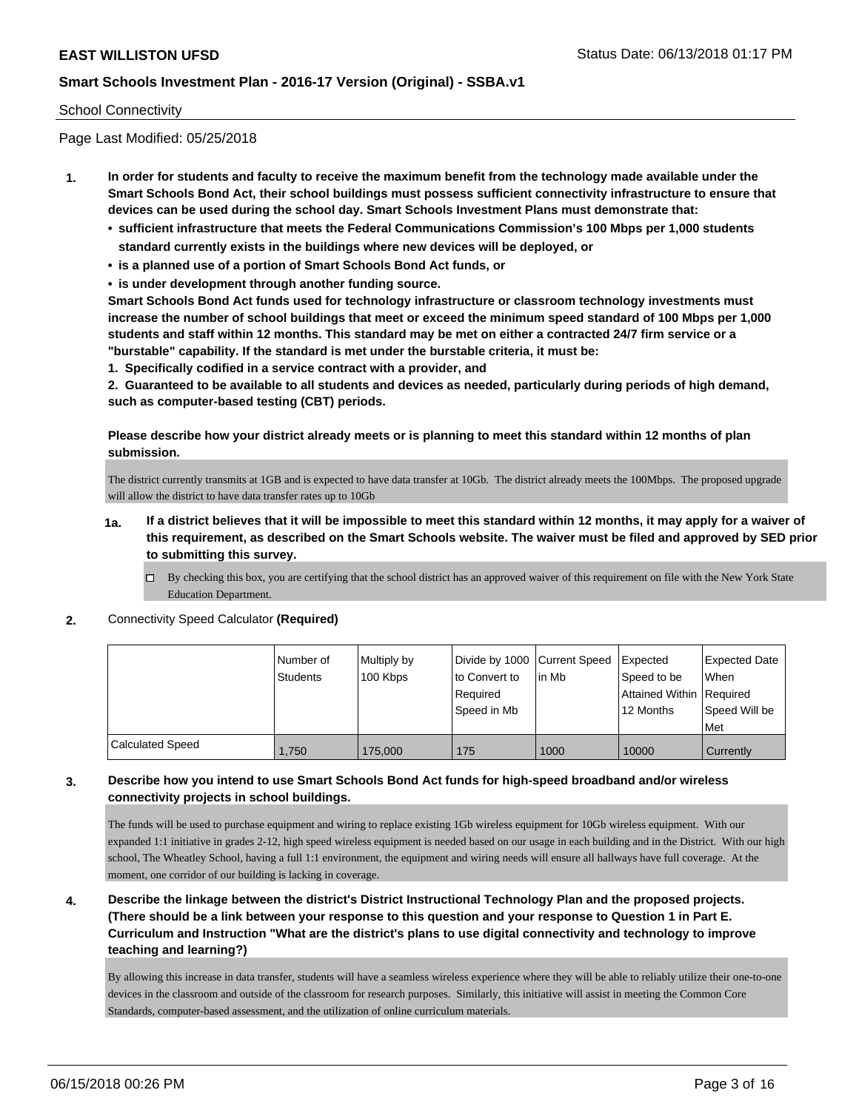#### School Connectivity

Page Last Modified: 05/25/2018

- **1. In order for students and faculty to receive the maximum benefit from the technology made available under the Smart Schools Bond Act, their school buildings must possess sufficient connectivity infrastructure to ensure that devices can be used during the school day. Smart Schools Investment Plans must demonstrate that:**
	- **• sufficient infrastructure that meets the Federal Communications Commission's 100 Mbps per 1,000 students standard currently exists in the buildings where new devices will be deployed, or**
	- **• is a planned use of a portion of Smart Schools Bond Act funds, or**
	- **• is under development through another funding source.**

**Smart Schools Bond Act funds used for technology infrastructure or classroom technology investments must increase the number of school buildings that meet or exceed the minimum speed standard of 100 Mbps per 1,000 students and staff within 12 months. This standard may be met on either a contracted 24/7 firm service or a "burstable" capability. If the standard is met under the burstable criteria, it must be:**

**1. Specifically codified in a service contract with a provider, and**

**2. Guaranteed to be available to all students and devices as needed, particularly during periods of high demand, such as computer-based testing (CBT) periods.**

**Please describe how your district already meets or is planning to meet this standard within 12 months of plan submission.**

The district currently transmits at 1GB and is expected to have data transfer at 10Gb. The district already meets the 100Mbps. The proposed upgrade will allow the district to have data transfer rates up to 10Gb

- **1a. If a district believes that it will be impossible to meet this standard within 12 months, it may apply for a waiver of this requirement, as described on the Smart Schools website. The waiver must be filed and approved by SED prior to submitting this survey.**
	- By checking this box, you are certifying that the school district has an approved waiver of this requirement on file with the New York State Education Department.
- **2.** Connectivity Speed Calculator **(Required)**

|                         | Number of | Multiply by | Divide by 1000 Current Speed |        | Expected                   | <b>Expected Date</b> |
|-------------------------|-----------|-------------|------------------------------|--------|----------------------------|----------------------|
|                         | Students  | 100 Kbps    | to Convert to                | lin Mb | Speed to be                | <b>When</b>          |
|                         |           |             | Required                     |        | Attained Within   Required |                      |
|                         |           |             | Speed in Mb                  |        | 12 Months                  | Speed Will be        |
|                         |           |             |                              |        |                            | Met                  |
| <b>Calculated Speed</b> | 1.750     | 175,000     | 175                          | 1000   | 10000                      | Currently            |

## **3. Describe how you intend to use Smart Schools Bond Act funds for high-speed broadband and/or wireless connectivity projects in school buildings.**

The funds will be used to purchase equipment and wiring to replace existing 1Gb wireless equipment for 10Gb wireless equipment. With our expanded 1:1 initiative in grades 2-12, high speed wireless equipment is needed based on our usage in each building and in the District. With our high school, The Wheatley School, having a full 1:1 environment, the equipment and wiring needs will ensure all hallways have full coverage. At the moment, one corridor of our building is lacking in coverage.

**4. Describe the linkage between the district's District Instructional Technology Plan and the proposed projects. (There should be a link between your response to this question and your response to Question 1 in Part E. Curriculum and Instruction "What are the district's plans to use digital connectivity and technology to improve teaching and learning?)**

By allowing this increase in data transfer, students will have a seamless wireless experience where they will be able to reliably utilize their one-to-one devices in the classroom and outside of the classroom for research purposes. Similarly, this initiative will assist in meeting the Common Core Standards, computer-based assessment, and the utilization of online curriculum materials.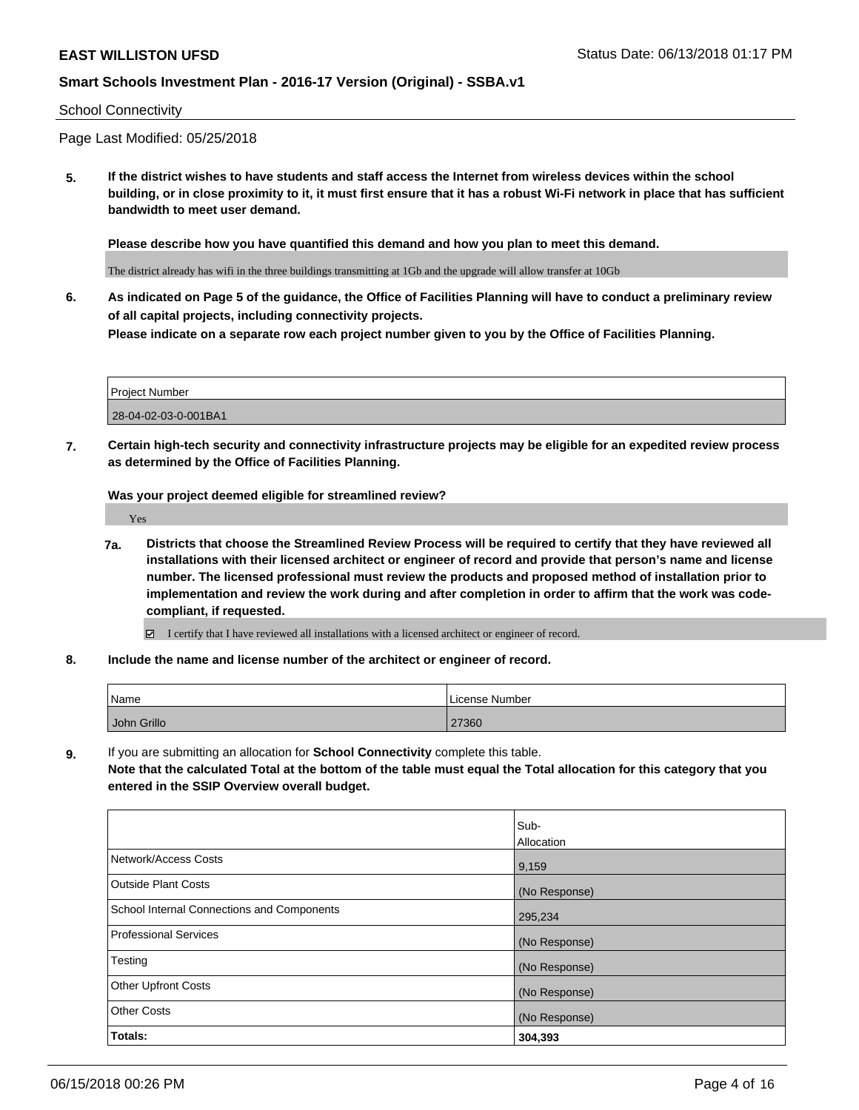#### School Connectivity

Page Last Modified: 05/25/2018

**5. If the district wishes to have students and staff access the Internet from wireless devices within the school building, or in close proximity to it, it must first ensure that it has a robust Wi-Fi network in place that has sufficient bandwidth to meet user demand.**

**Please describe how you have quantified this demand and how you plan to meet this demand.**

The district already has wifi in the three buildings transmitting at 1Gb and the upgrade will allow transfer at 10Gb

**6. As indicated on Page 5 of the guidance, the Office of Facilities Planning will have to conduct a preliminary review of all capital projects, including connectivity projects. Please indicate on a separate row each project number given to you by the Office of Facilities Planning.**

| Project Number       |  |
|----------------------|--|
| 28-04-02-03-0-001BA1 |  |

**7. Certain high-tech security and connectivity infrastructure projects may be eligible for an expedited review process as determined by the Office of Facilities Planning.**

**Was your project deemed eligible for streamlined review?**

Yes

**7a. Districts that choose the Streamlined Review Process will be required to certify that they have reviewed all installations with their licensed architect or engineer of record and provide that person's name and license number. The licensed professional must review the products and proposed method of installation prior to implementation and review the work during and after completion in order to affirm that the work was codecompliant, if requested.**

I certify that I have reviewed all installations with a licensed architect or engineer of record.

**8. Include the name and license number of the architect or engineer of record.**

| Name        | License Number |
|-------------|----------------|
| John Grillo | 27360          |

**9.** If you are submitting an allocation for **School Connectivity** complete this table.

**Note that the calculated Total at the bottom of the table must equal the Total allocation for this category that you entered in the SSIP Overview overall budget.** 

|                                            | Sub-          |
|--------------------------------------------|---------------|
|                                            | Allocation    |
| Network/Access Costs                       | 9,159         |
| Outside Plant Costs                        | (No Response) |
| School Internal Connections and Components | 295,234       |
| Professional Services                      | (No Response) |
| Testing                                    | (No Response) |
| <b>Other Upfront Costs</b>                 | (No Response) |
| <b>Other Costs</b>                         | (No Response) |
| Totals:                                    | 304,393       |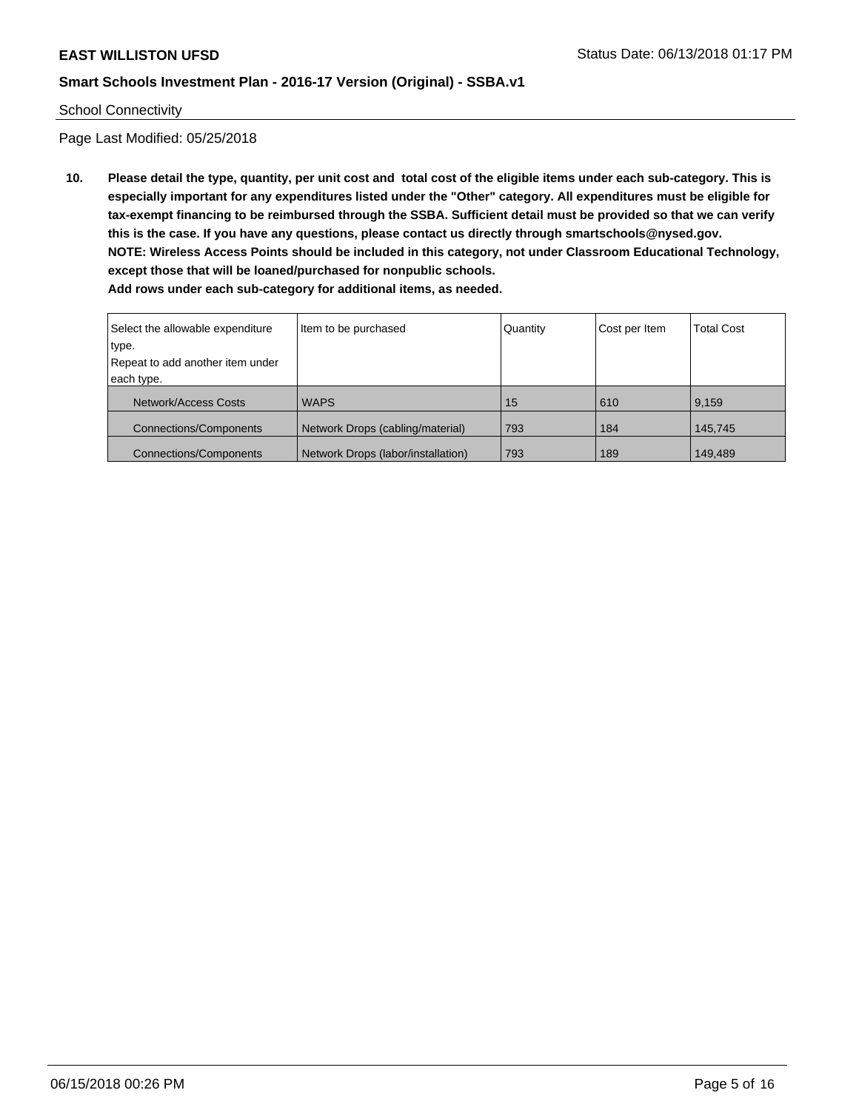#### School Connectivity

Page Last Modified: 05/25/2018

**10. Please detail the type, quantity, per unit cost and total cost of the eligible items under each sub-category. This is especially important for any expenditures listed under the "Other" category. All expenditures must be eligible for tax-exempt financing to be reimbursed through the SSBA. Sufficient detail must be provided so that we can verify this is the case. If you have any questions, please contact us directly through smartschools@nysed.gov. NOTE: Wireless Access Points should be included in this category, not under Classroom Educational Technology, except those that will be loaned/purchased for nonpublic schools. Add rows under each sub-category for additional items, as needed.**

| Select the allowable expenditure | Item to be purchased               | Quantity | Cost per Item | <b>Total Cost</b> |
|----------------------------------|------------------------------------|----------|---------------|-------------------|
| type.                            |                                    |          |               |                   |
| Repeat to add another item under |                                    |          |               |                   |
| each type.                       |                                    |          |               |                   |
| Network/Access Costs             | <b>WAPS</b>                        | 15       | 610           | 9,159             |
| <b>Connections/Components</b>    | Network Drops (cabling/material)   | 793      | 184           | 145,745           |
| <b>Connections/Components</b>    | Network Drops (labor/installation) | 793      | 189           | 149,489           |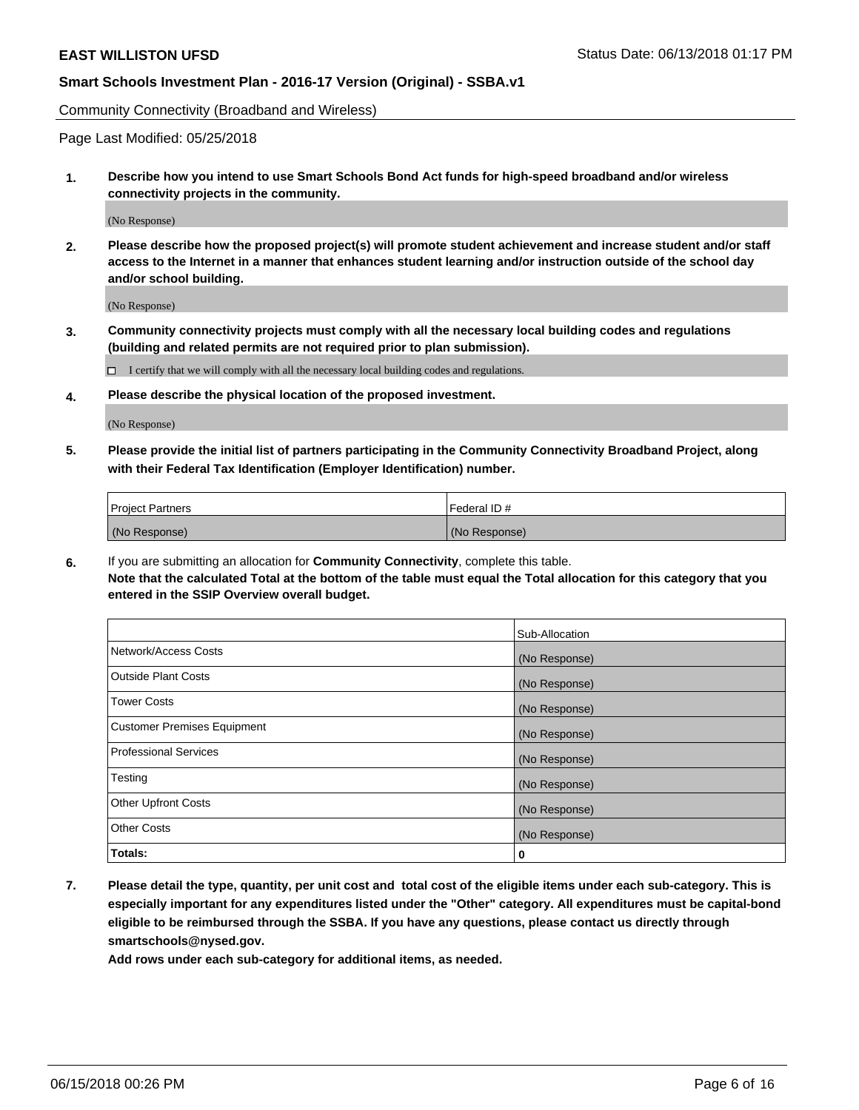Community Connectivity (Broadband and Wireless)

Page Last Modified: 05/25/2018

**1. Describe how you intend to use Smart Schools Bond Act funds for high-speed broadband and/or wireless connectivity projects in the community.**

(No Response)

**2. Please describe how the proposed project(s) will promote student achievement and increase student and/or staff access to the Internet in a manner that enhances student learning and/or instruction outside of the school day and/or school building.**

(No Response)

**3. Community connectivity projects must comply with all the necessary local building codes and regulations (building and related permits are not required prior to plan submission).**

 $\Box$  I certify that we will comply with all the necessary local building codes and regulations.

**4. Please describe the physical location of the proposed investment.**

(No Response)

**5. Please provide the initial list of partners participating in the Community Connectivity Broadband Project, along with their Federal Tax Identification (Employer Identification) number.**

| <b>Project Partners</b> | Federal ID#   |
|-------------------------|---------------|
| (No Response)           | (No Response) |

**6.** If you are submitting an allocation for **Community Connectivity**, complete this table. **Note that the calculated Total at the bottom of the table must equal the Total allocation for this category that you entered in the SSIP Overview overall budget.**

|                                    | Sub-Allocation |
|------------------------------------|----------------|
| Network/Access Costs               | (No Response)  |
| Outside Plant Costs                | (No Response)  |
| <b>Tower Costs</b>                 | (No Response)  |
| <b>Customer Premises Equipment</b> | (No Response)  |
| <b>Professional Services</b>       | (No Response)  |
| Testing                            | (No Response)  |
| <b>Other Upfront Costs</b>         | (No Response)  |
| <b>Other Costs</b>                 | (No Response)  |
| Totals:                            | 0              |

**7. Please detail the type, quantity, per unit cost and total cost of the eligible items under each sub-category. This is especially important for any expenditures listed under the "Other" category. All expenditures must be capital-bond eligible to be reimbursed through the SSBA. If you have any questions, please contact us directly through smartschools@nysed.gov.**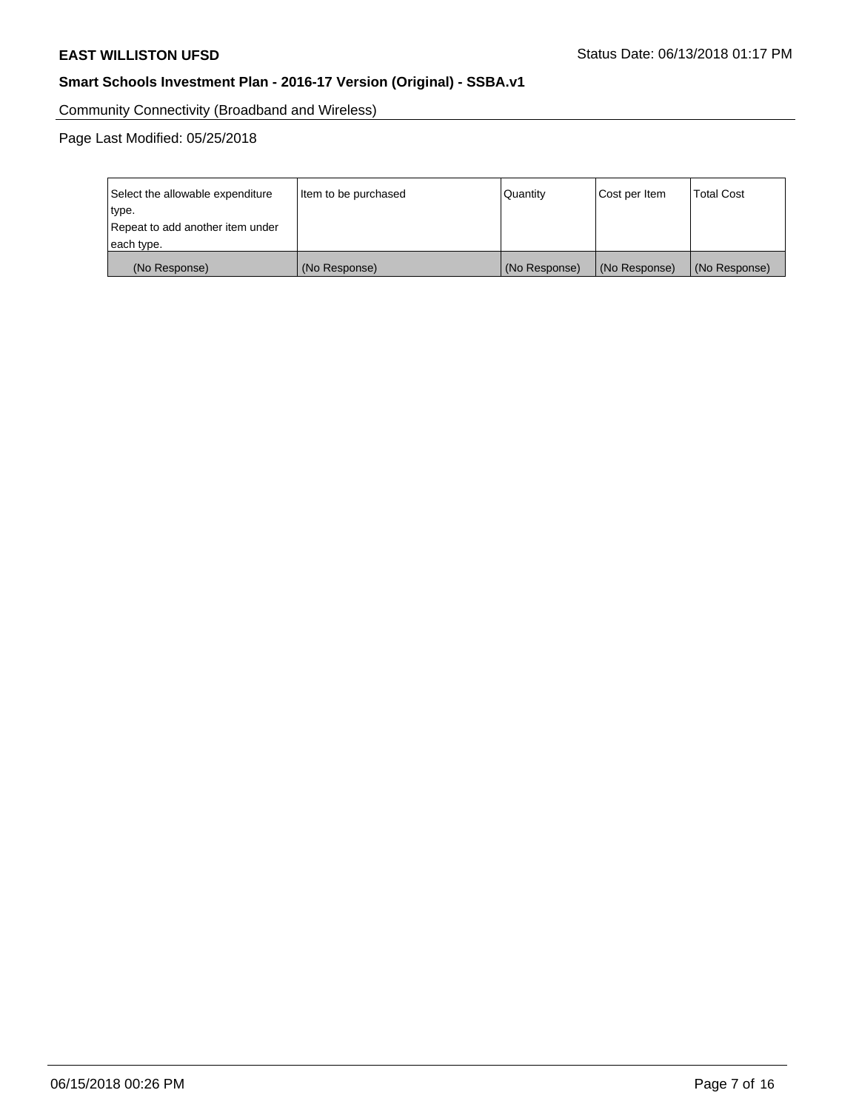Community Connectivity (Broadband and Wireless)

Page Last Modified: 05/25/2018

| Select the allowable expenditure | Item to be purchased | Quantity      | Cost per Item | <b>Total Cost</b> |
|----------------------------------|----------------------|---------------|---------------|-------------------|
| type.                            |                      |               |               |                   |
| Repeat to add another item under |                      |               |               |                   |
| each type.                       |                      |               |               |                   |
| (No Response)                    | (No Response)        | (No Response) | (No Response) | (No Response)     |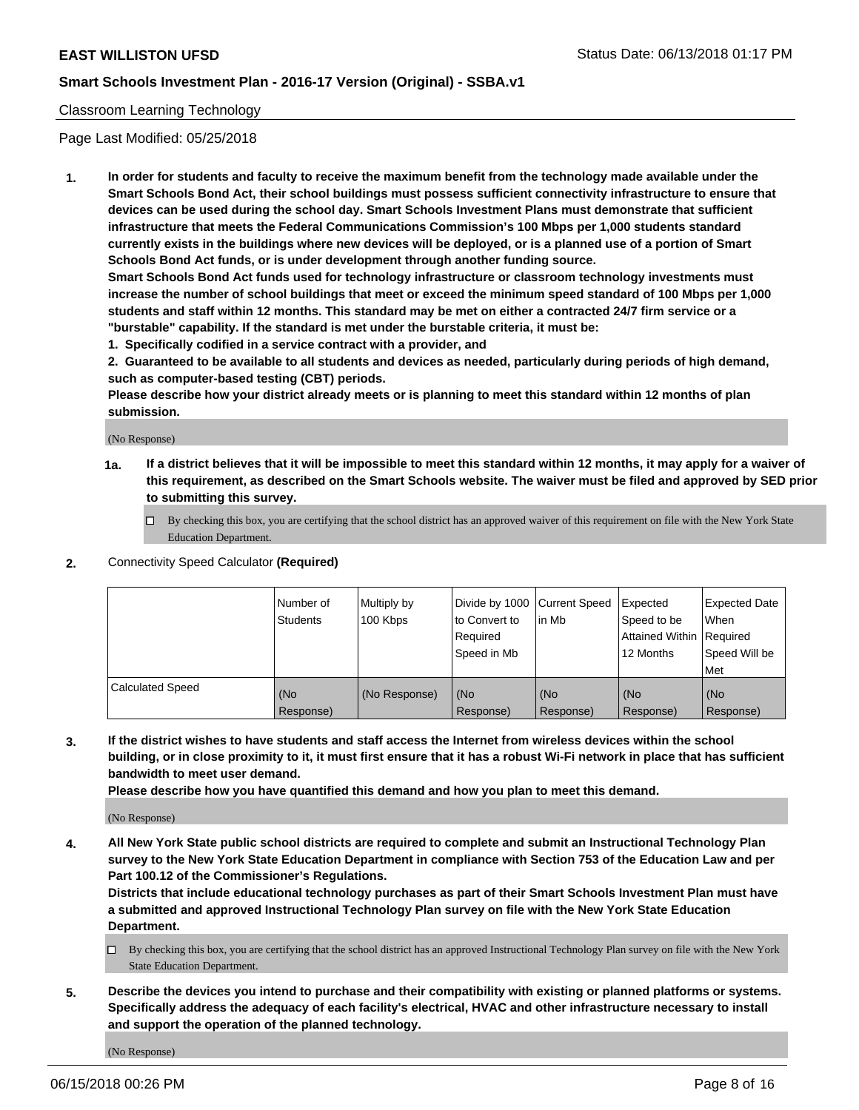#### Classroom Learning Technology

Page Last Modified: 05/25/2018

**1. In order for students and faculty to receive the maximum benefit from the technology made available under the Smart Schools Bond Act, their school buildings must possess sufficient connectivity infrastructure to ensure that devices can be used during the school day. Smart Schools Investment Plans must demonstrate that sufficient infrastructure that meets the Federal Communications Commission's 100 Mbps per 1,000 students standard currently exists in the buildings where new devices will be deployed, or is a planned use of a portion of Smart Schools Bond Act funds, or is under development through another funding source.**

**Smart Schools Bond Act funds used for technology infrastructure or classroom technology investments must increase the number of school buildings that meet or exceed the minimum speed standard of 100 Mbps per 1,000 students and staff within 12 months. This standard may be met on either a contracted 24/7 firm service or a "burstable" capability. If the standard is met under the burstable criteria, it must be:**

**1. Specifically codified in a service contract with a provider, and**

**2. Guaranteed to be available to all students and devices as needed, particularly during periods of high demand, such as computer-based testing (CBT) periods.**

**Please describe how your district already meets or is planning to meet this standard within 12 months of plan submission.**

(No Response)

- **1a. If a district believes that it will be impossible to meet this standard within 12 months, it may apply for a waiver of this requirement, as described on the Smart Schools website. The waiver must be filed and approved by SED prior to submitting this survey.**
	- By checking this box, you are certifying that the school district has an approved waiver of this requirement on file with the New York State Education Department.
- **2.** Connectivity Speed Calculator **(Required)**

|                         | l Number of<br><b>Students</b> | Multiply by<br>100 Kbps | Divide by 1000 Current Speed<br>to Convert to<br>Required<br>l Speed in Mb | lin Mb           | Expected<br>Speed to be<br>Attained Within Required<br>12 Months | Expected Date<br>When<br>Speed Will be<br><b>Met</b> |
|-------------------------|--------------------------------|-------------------------|----------------------------------------------------------------------------|------------------|------------------------------------------------------------------|------------------------------------------------------|
| <b>Calculated Speed</b> | (No<br>Response)               | (No Response)           | (No<br>Response)                                                           | (No<br>Response) | (No<br>Response)                                                 | l (No<br>Response)                                   |

**3. If the district wishes to have students and staff access the Internet from wireless devices within the school building, or in close proximity to it, it must first ensure that it has a robust Wi-Fi network in place that has sufficient bandwidth to meet user demand.**

**Please describe how you have quantified this demand and how you plan to meet this demand.**

(No Response)

**4. All New York State public school districts are required to complete and submit an Instructional Technology Plan survey to the New York State Education Department in compliance with Section 753 of the Education Law and per Part 100.12 of the Commissioner's Regulations.**

**Districts that include educational technology purchases as part of their Smart Schools Investment Plan must have a submitted and approved Instructional Technology Plan survey on file with the New York State Education Department.**

- By checking this box, you are certifying that the school district has an approved Instructional Technology Plan survey on file with the New York State Education Department.
- **5. Describe the devices you intend to purchase and their compatibility with existing or planned platforms or systems. Specifically address the adequacy of each facility's electrical, HVAC and other infrastructure necessary to install and support the operation of the planned technology.**

(No Response)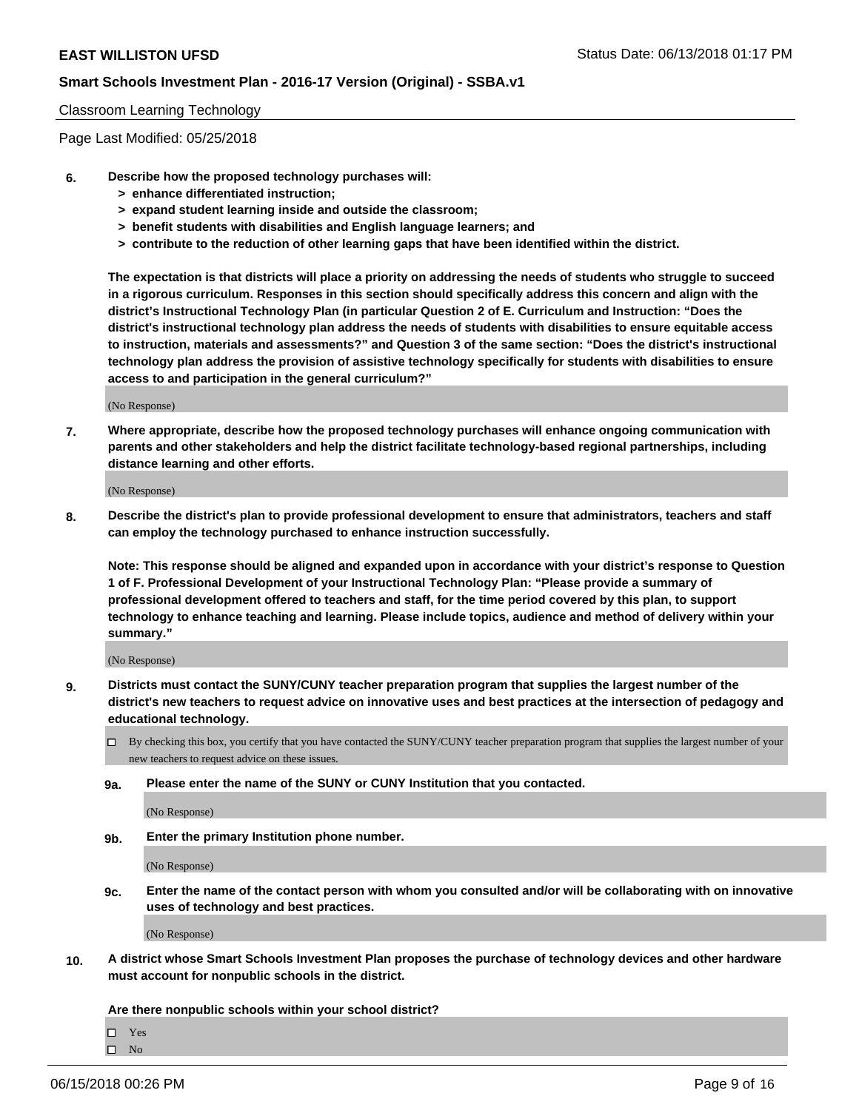#### Classroom Learning Technology

Page Last Modified: 05/25/2018

- **6. Describe how the proposed technology purchases will:**
	- **> enhance differentiated instruction;**
	- **> expand student learning inside and outside the classroom;**
	- **> benefit students with disabilities and English language learners; and**
	- **> contribute to the reduction of other learning gaps that have been identified within the district.**

**The expectation is that districts will place a priority on addressing the needs of students who struggle to succeed in a rigorous curriculum. Responses in this section should specifically address this concern and align with the district's Instructional Technology Plan (in particular Question 2 of E. Curriculum and Instruction: "Does the district's instructional technology plan address the needs of students with disabilities to ensure equitable access to instruction, materials and assessments?" and Question 3 of the same section: "Does the district's instructional technology plan address the provision of assistive technology specifically for students with disabilities to ensure access to and participation in the general curriculum?"**

(No Response)

**7. Where appropriate, describe how the proposed technology purchases will enhance ongoing communication with parents and other stakeholders and help the district facilitate technology-based regional partnerships, including distance learning and other efforts.**

(No Response)

**8. Describe the district's plan to provide professional development to ensure that administrators, teachers and staff can employ the technology purchased to enhance instruction successfully.**

**Note: This response should be aligned and expanded upon in accordance with your district's response to Question 1 of F. Professional Development of your Instructional Technology Plan: "Please provide a summary of professional development offered to teachers and staff, for the time period covered by this plan, to support technology to enhance teaching and learning. Please include topics, audience and method of delivery within your summary."**

(No Response)

- **9. Districts must contact the SUNY/CUNY teacher preparation program that supplies the largest number of the district's new teachers to request advice on innovative uses and best practices at the intersection of pedagogy and educational technology.**
	- $\Box$  By checking this box, you certify that you have contacted the SUNY/CUNY teacher preparation program that supplies the largest number of your new teachers to request advice on these issues.
	- **9a. Please enter the name of the SUNY or CUNY Institution that you contacted.**

(No Response)

**9b. Enter the primary Institution phone number.**

(No Response)

**9c. Enter the name of the contact person with whom you consulted and/or will be collaborating with on innovative uses of technology and best practices.**

(No Response)

**10. A district whose Smart Schools Investment Plan proposes the purchase of technology devices and other hardware must account for nonpublic schools in the district.**

**Are there nonpublic schools within your school district?**

 $\Box$ Yes

 $\square$  No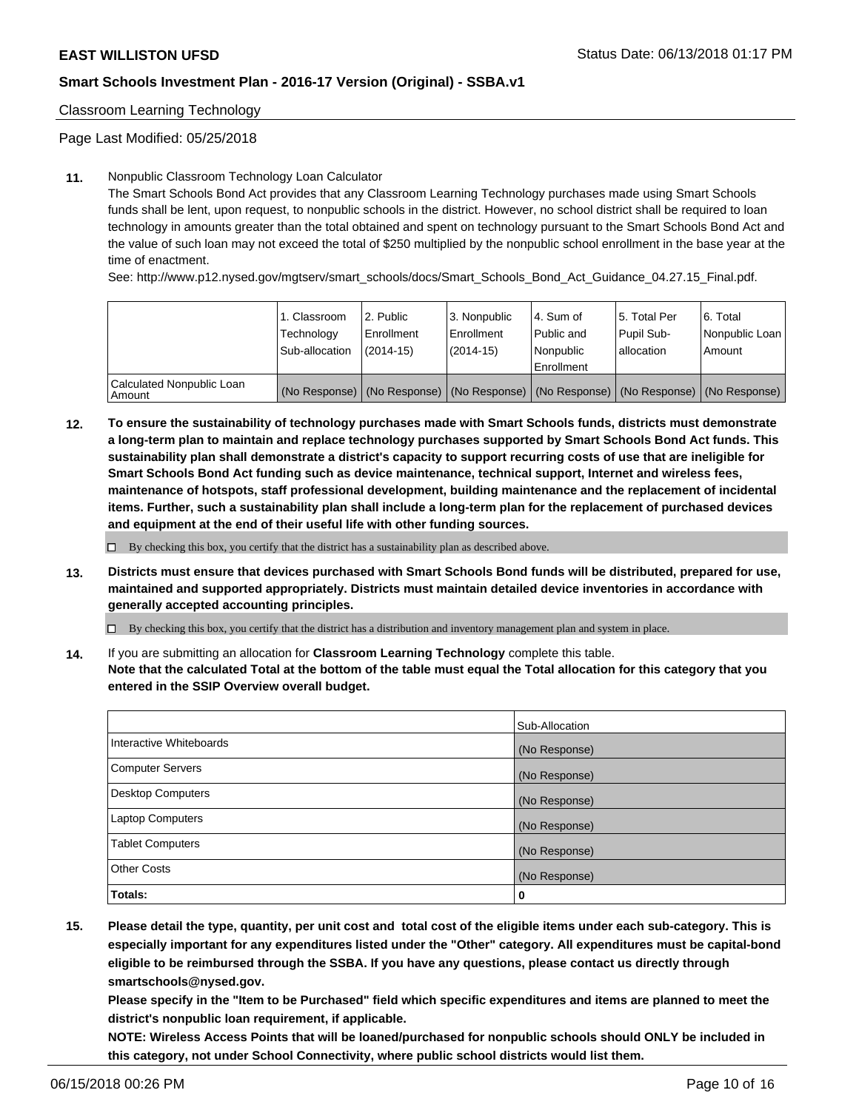Classroom Learning Technology

Page Last Modified: 05/25/2018

#### **11.** Nonpublic Classroom Technology Loan Calculator

The Smart Schools Bond Act provides that any Classroom Learning Technology purchases made using Smart Schools funds shall be lent, upon request, to nonpublic schools in the district. However, no school district shall be required to loan technology in amounts greater than the total obtained and spent on technology pursuant to the Smart Schools Bond Act and the value of such loan may not exceed the total of \$250 multiplied by the nonpublic school enrollment in the base year at the time of enactment.

See: http://www.p12.nysed.gov/mgtserv/smart\_schools/docs/Smart\_Schools\_Bond\_Act\_Guidance\_04.27.15\_Final.pdf.

|                                       | 1. Classroom<br>Technology<br>Sub-allocation | l 2. Public<br>Enrollment<br>$(2014 - 15)$ | l 3. Nonpublic<br>Enrollment<br>(2014-15) | 4. Sum of<br>Public and<br>l Nonpublic<br>Enrollment | l 5. Total Per<br>Pupil Sub-<br>lallocation                                                   | l 6. Total<br>Nonpublic Loan<br>Amount |
|---------------------------------------|----------------------------------------------|--------------------------------------------|-------------------------------------------|------------------------------------------------------|-----------------------------------------------------------------------------------------------|----------------------------------------|
| Calculated Nonpublic Loan<br>l Amount |                                              |                                            |                                           |                                                      | (No Response)   (No Response)   (No Response)   (No Response)   (No Response)   (No Response) |                                        |

**12. To ensure the sustainability of technology purchases made with Smart Schools funds, districts must demonstrate a long-term plan to maintain and replace technology purchases supported by Smart Schools Bond Act funds. This sustainability plan shall demonstrate a district's capacity to support recurring costs of use that are ineligible for Smart Schools Bond Act funding such as device maintenance, technical support, Internet and wireless fees, maintenance of hotspots, staff professional development, building maintenance and the replacement of incidental items. Further, such a sustainability plan shall include a long-term plan for the replacement of purchased devices and equipment at the end of their useful life with other funding sources.**

 $\square$  By checking this box, you certify that the district has a sustainability plan as described above.

**13. Districts must ensure that devices purchased with Smart Schools Bond funds will be distributed, prepared for use, maintained and supported appropriately. Districts must maintain detailed device inventories in accordance with generally accepted accounting principles.**

By checking this box, you certify that the district has a distribution and inventory management plan and system in place.

**14.** If you are submitting an allocation for **Classroom Learning Technology** complete this table.

**Note that the calculated Total at the bottom of the table must equal the Total allocation for this category that you entered in the SSIP Overview overall budget.**

|                          | Sub-Allocation |
|--------------------------|----------------|
| Interactive Whiteboards  | (No Response)  |
| <b>Computer Servers</b>  | (No Response)  |
| <b>Desktop Computers</b> | (No Response)  |
| <b>Laptop Computers</b>  | (No Response)  |
| <b>Tablet Computers</b>  | (No Response)  |
| <b>Other Costs</b>       | (No Response)  |
| Totals:                  | 0              |

**15. Please detail the type, quantity, per unit cost and total cost of the eligible items under each sub-category. This is especially important for any expenditures listed under the "Other" category. All expenditures must be capital-bond eligible to be reimbursed through the SSBA. If you have any questions, please contact us directly through smartschools@nysed.gov.**

**Please specify in the "Item to be Purchased" field which specific expenditures and items are planned to meet the district's nonpublic loan requirement, if applicable.**

**NOTE: Wireless Access Points that will be loaned/purchased for nonpublic schools should ONLY be included in this category, not under School Connectivity, where public school districts would list them.**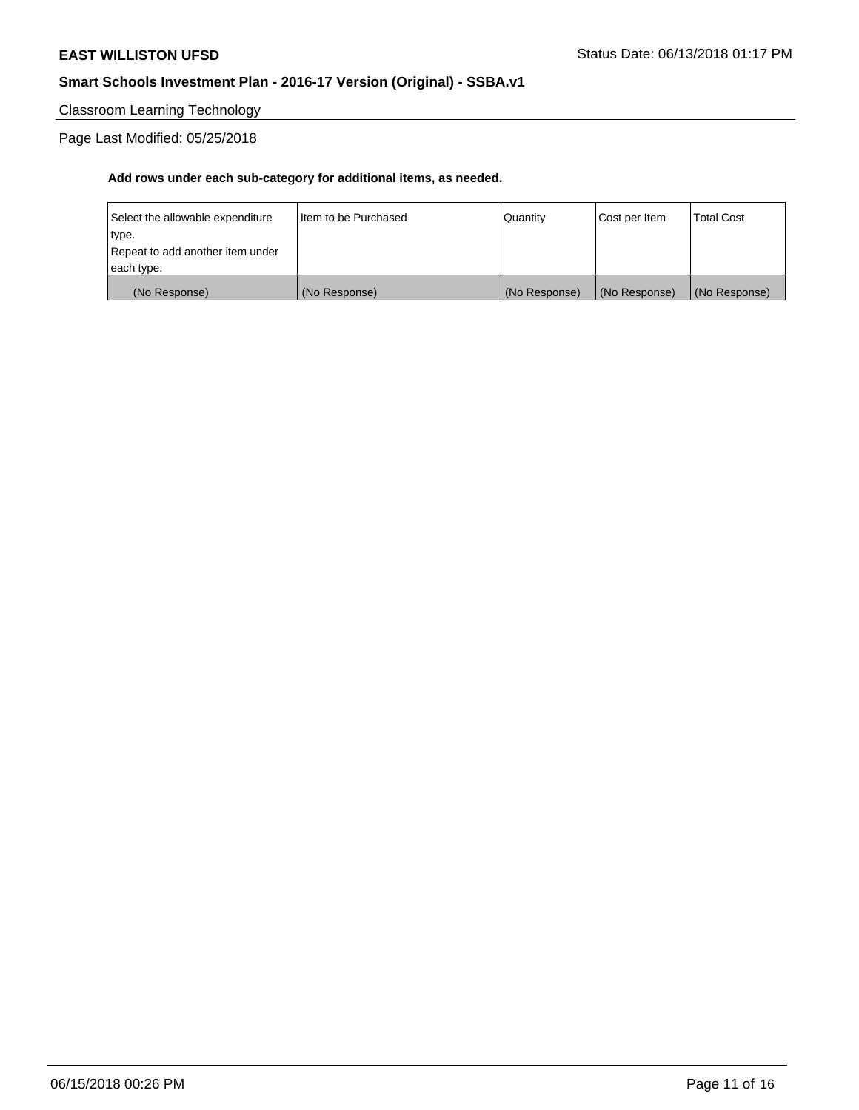Classroom Learning Technology

Page Last Modified: 05/25/2018

| each type.<br>(No Response)               | (No Response)          | (No Response) | (No Response) | (No Response)     |
|-------------------------------------------|------------------------|---------------|---------------|-------------------|
| type.<br>Repeat to add another item under |                        |               |               |                   |
| Select the allowable expenditure          | I Item to be Purchased | l Quantitv    | Cost per Item | <b>Total Cost</b> |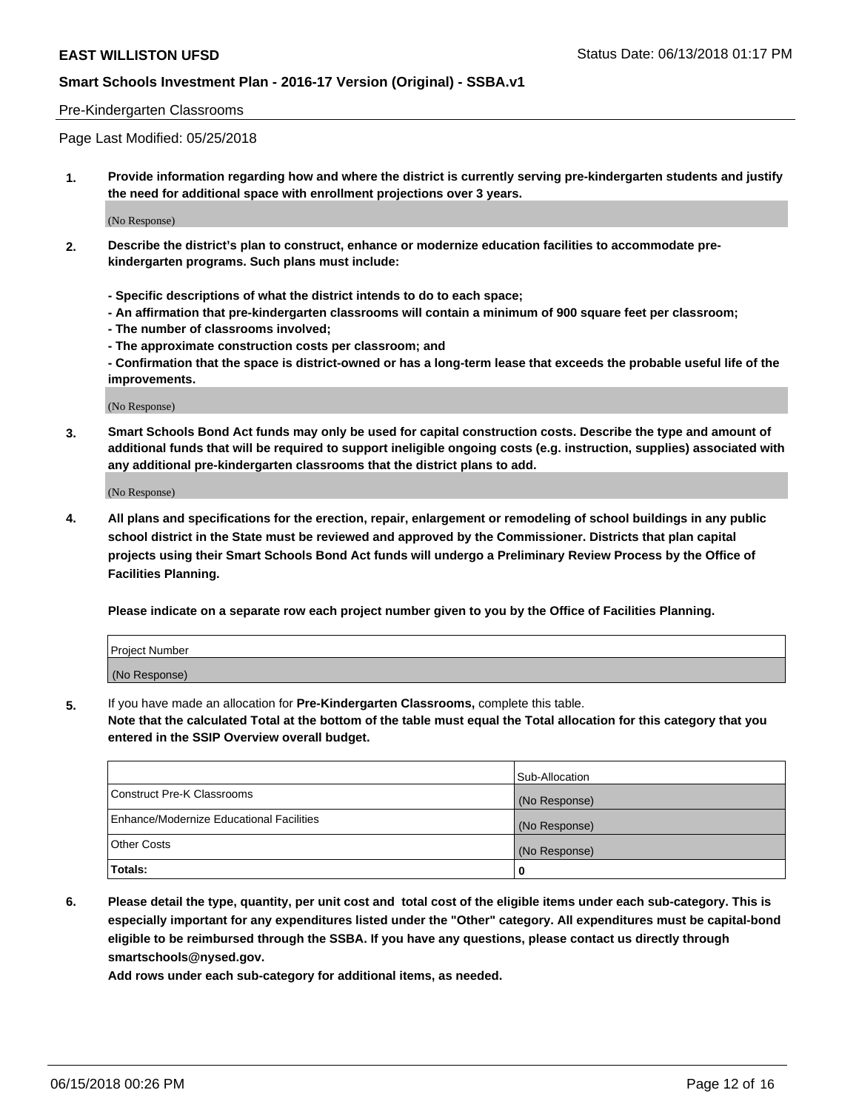#### Pre-Kindergarten Classrooms

Page Last Modified: 05/25/2018

**1. Provide information regarding how and where the district is currently serving pre-kindergarten students and justify the need for additional space with enrollment projections over 3 years.**

(No Response)

- **2. Describe the district's plan to construct, enhance or modernize education facilities to accommodate prekindergarten programs. Such plans must include:**
	- **Specific descriptions of what the district intends to do to each space;**
	- **An affirmation that pre-kindergarten classrooms will contain a minimum of 900 square feet per classroom;**
	- **The number of classrooms involved;**
	- **The approximate construction costs per classroom; and**
	- **Confirmation that the space is district-owned or has a long-term lease that exceeds the probable useful life of the improvements.**

(No Response)

**3. Smart Schools Bond Act funds may only be used for capital construction costs. Describe the type and amount of additional funds that will be required to support ineligible ongoing costs (e.g. instruction, supplies) associated with any additional pre-kindergarten classrooms that the district plans to add.**

(No Response)

**4. All plans and specifications for the erection, repair, enlargement or remodeling of school buildings in any public school district in the State must be reviewed and approved by the Commissioner. Districts that plan capital projects using their Smart Schools Bond Act funds will undergo a Preliminary Review Process by the Office of Facilities Planning.**

**Please indicate on a separate row each project number given to you by the Office of Facilities Planning.**

| <b>Project Number</b> |  |
|-----------------------|--|
| (No Response)         |  |

**5.** If you have made an allocation for **Pre-Kindergarten Classrooms,** complete this table.

**Note that the calculated Total at the bottom of the table must equal the Total allocation for this category that you entered in the SSIP Overview overall budget.**

|                                          | Sub-Allocation |
|------------------------------------------|----------------|
| Construct Pre-K Classrooms               | (No Response)  |
| Enhance/Modernize Educational Facilities | (No Response)  |
| Other Costs                              | (No Response)  |
| Totals:                                  | 0              |

**6. Please detail the type, quantity, per unit cost and total cost of the eligible items under each sub-category. This is especially important for any expenditures listed under the "Other" category. All expenditures must be capital-bond eligible to be reimbursed through the SSBA. If you have any questions, please contact us directly through smartschools@nysed.gov.**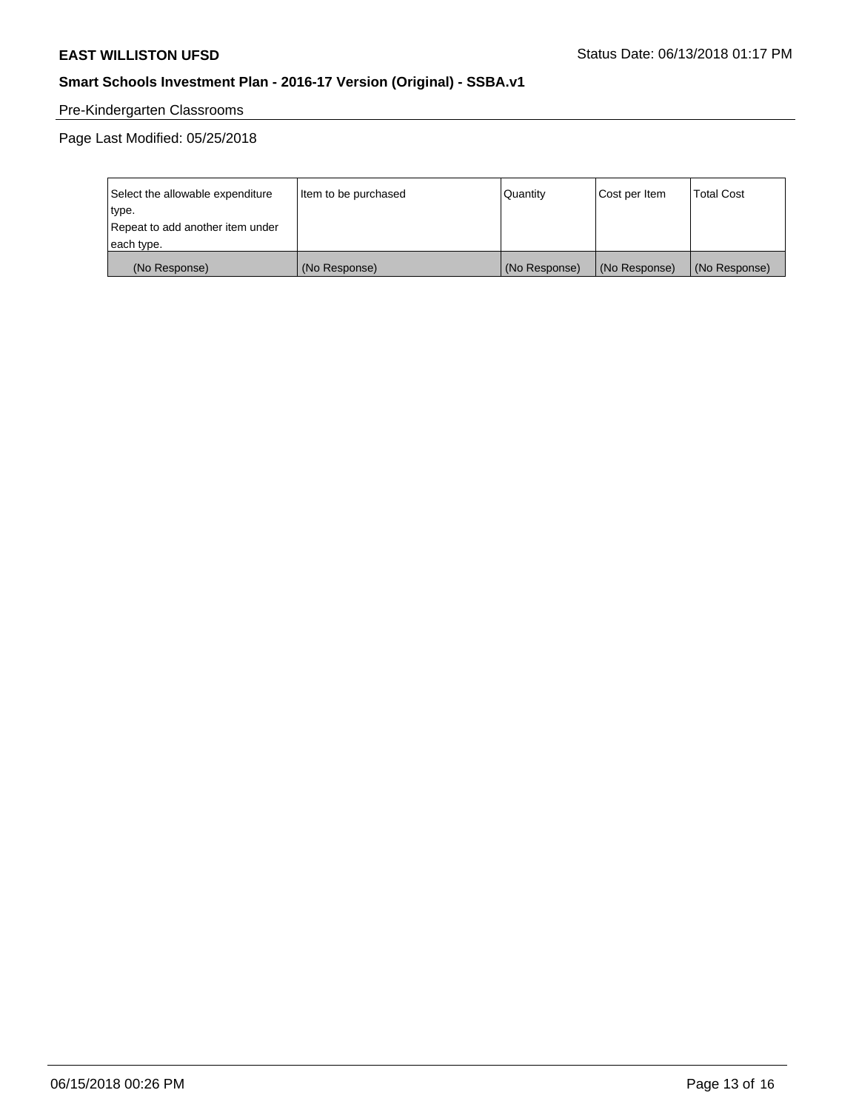# Pre-Kindergarten Classrooms

Page Last Modified: 05/25/2018

| Select the allowable expenditure | Item to be purchased | Quantity      | Cost per Item | <b>Total Cost</b> |
|----------------------------------|----------------------|---------------|---------------|-------------------|
| type.                            |                      |               |               |                   |
| Repeat to add another item under |                      |               |               |                   |
| each type.                       |                      |               |               |                   |
| (No Response)                    | (No Response)        | (No Response) | (No Response) | (No Response)     |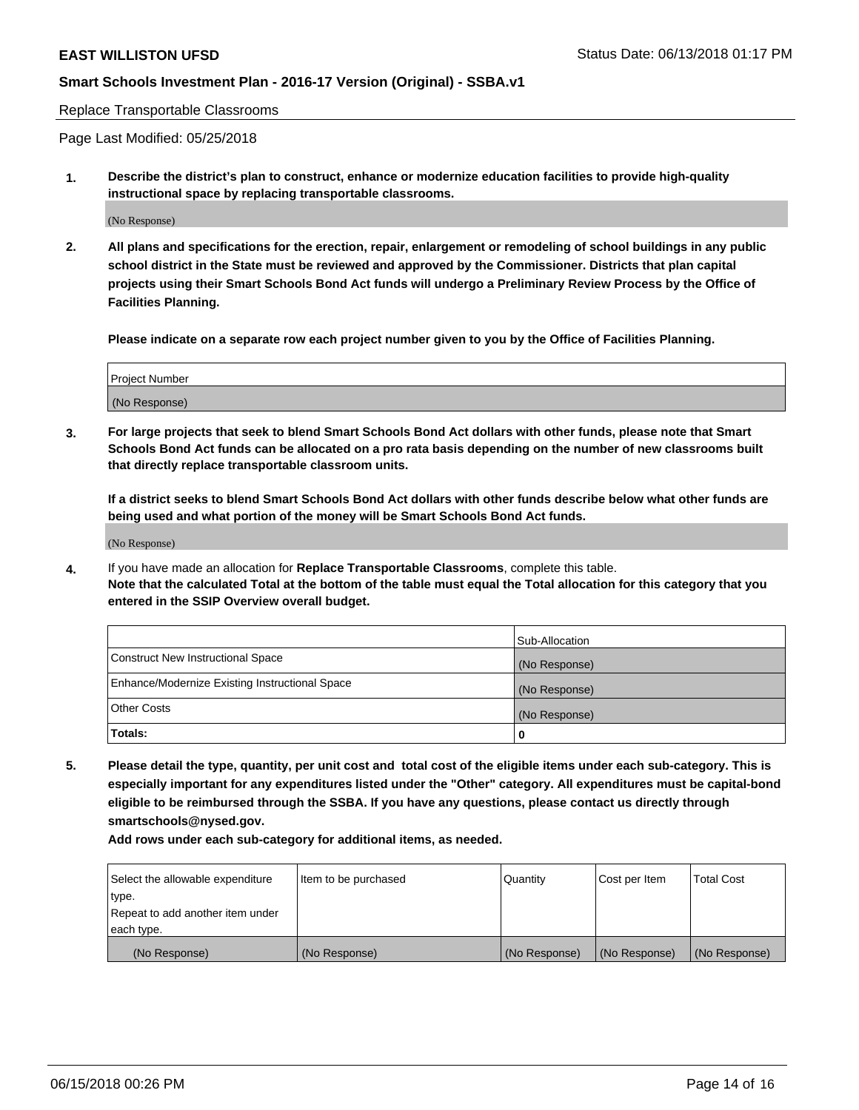Replace Transportable Classrooms

Page Last Modified: 05/25/2018

**1. Describe the district's plan to construct, enhance or modernize education facilities to provide high-quality instructional space by replacing transportable classrooms.**

(No Response)

**2. All plans and specifications for the erection, repair, enlargement or remodeling of school buildings in any public school district in the State must be reviewed and approved by the Commissioner. Districts that plan capital projects using their Smart Schools Bond Act funds will undergo a Preliminary Review Process by the Office of Facilities Planning.**

**Please indicate on a separate row each project number given to you by the Office of Facilities Planning.**

| <b>Project Number</b> |  |
|-----------------------|--|
| (No Response)         |  |
|                       |  |

**3. For large projects that seek to blend Smart Schools Bond Act dollars with other funds, please note that Smart Schools Bond Act funds can be allocated on a pro rata basis depending on the number of new classrooms built that directly replace transportable classroom units.**

**If a district seeks to blend Smart Schools Bond Act dollars with other funds describe below what other funds are being used and what portion of the money will be Smart Schools Bond Act funds.**

(No Response)

**4.** If you have made an allocation for **Replace Transportable Classrooms**, complete this table. **Note that the calculated Total at the bottom of the table must equal the Total allocation for this category that you entered in the SSIP Overview overall budget.**

|                                                | Sub-Allocation |
|------------------------------------------------|----------------|
| Construct New Instructional Space              | (No Response)  |
| Enhance/Modernize Existing Instructional Space | (No Response)  |
| Other Costs                                    | (No Response)  |
| Totals:                                        | 0              |

**5. Please detail the type, quantity, per unit cost and total cost of the eligible items under each sub-category. This is especially important for any expenditures listed under the "Other" category. All expenditures must be capital-bond eligible to be reimbursed through the SSBA. If you have any questions, please contact us directly through smartschools@nysed.gov.**

| Select the allowable expenditure<br>type. | Item to be purchased | Quantity      | Cost per Item | <b>Total Cost</b> |
|-------------------------------------------|----------------------|---------------|---------------|-------------------|
| Repeat to add another item under          |                      |               |               |                   |
| each type.                                |                      |               |               |                   |
| (No Response)                             | (No Response)        | (No Response) | (No Response) | (No Response)     |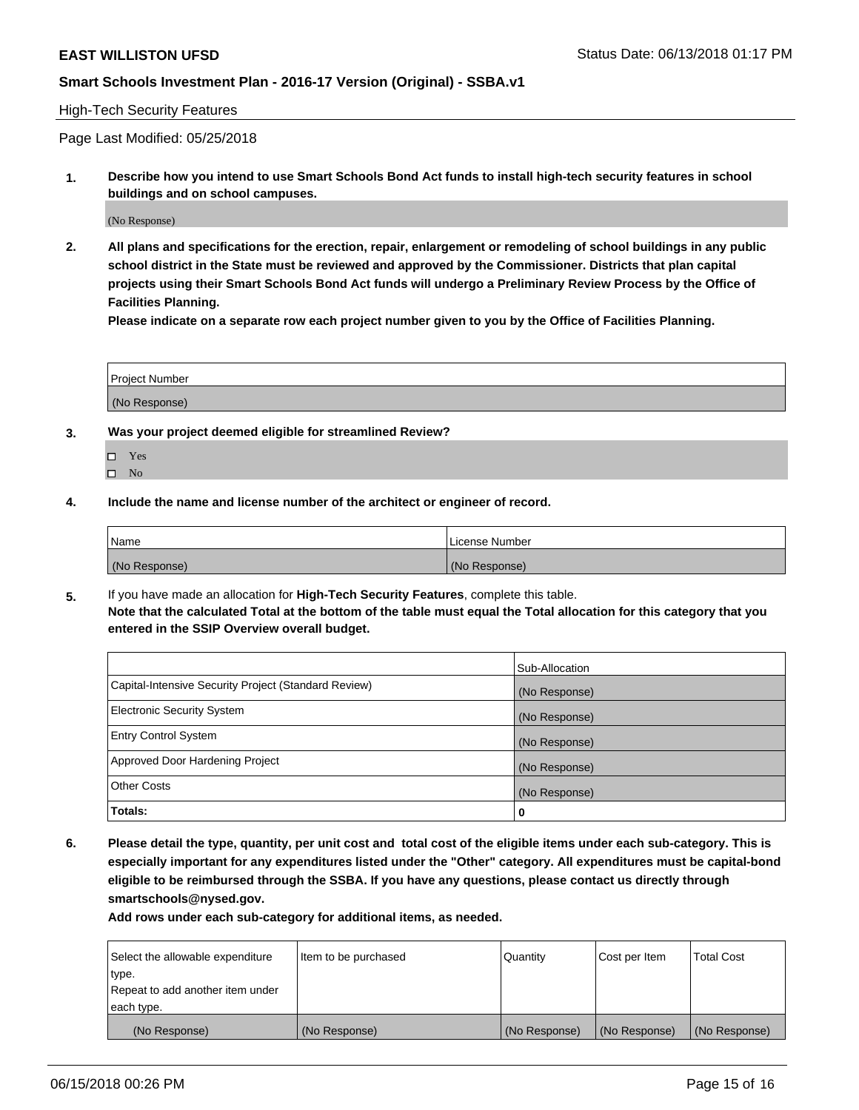#### High-Tech Security Features

Page Last Modified: 05/25/2018

**1. Describe how you intend to use Smart Schools Bond Act funds to install high-tech security features in school buildings and on school campuses.**

(No Response)

**2. All plans and specifications for the erection, repair, enlargement or remodeling of school buildings in any public school district in the State must be reviewed and approved by the Commissioner. Districts that plan capital projects using their Smart Schools Bond Act funds will undergo a Preliminary Review Process by the Office of Facilities Planning.** 

**Please indicate on a separate row each project number given to you by the Office of Facilities Planning.**

| <b>Project Number</b> |  |  |
|-----------------------|--|--|
|                       |  |  |
| (No Response)         |  |  |

- **3. Was your project deemed eligible for streamlined Review?**
	- Yes  $\square$  No
- **4. Include the name and license number of the architect or engineer of record.**

| <i>Name</i>   | License Number |
|---------------|----------------|
| (No Response) | (No Response)  |

**5.** If you have made an allocation for **High-Tech Security Features**, complete this table. **Note that the calculated Total at the bottom of the table must equal the Total allocation for this category that you entered in the SSIP Overview overall budget.**

|                                                      | Sub-Allocation |
|------------------------------------------------------|----------------|
| Capital-Intensive Security Project (Standard Review) | (No Response)  |
| <b>Electronic Security System</b>                    | (No Response)  |
| <b>Entry Control System</b>                          | (No Response)  |
| Approved Door Hardening Project                      | (No Response)  |
| <b>Other Costs</b>                                   | (No Response)  |
| Totals:                                              | 0              |

**6. Please detail the type, quantity, per unit cost and total cost of the eligible items under each sub-category. This is especially important for any expenditures listed under the "Other" category. All expenditures must be capital-bond eligible to be reimbursed through the SSBA. If you have any questions, please contact us directly through smartschools@nysed.gov.**

| Select the allowable expenditure | Item to be purchased | Quantity      | Cost per Item | <b>Total Cost</b> |
|----------------------------------|----------------------|---------------|---------------|-------------------|
| type.                            |                      |               |               |                   |
| Repeat to add another item under |                      |               |               |                   |
| each type.                       |                      |               |               |                   |
| (No Response)                    | (No Response)        | (No Response) | (No Response) | (No Response)     |